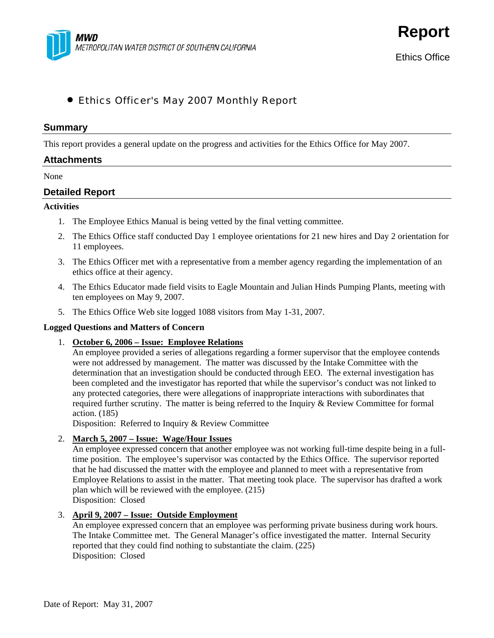

**Report**

# • Ethics Officer's May 2007 Monthly Report

#### **Summary**

This report provides a general update on the progress and activities for the Ethics Office for May 2007.

#### **Attachments**

#### None

## **Detailed Report**

### **Activities**

- 1. The Employee Ethics Manual is being vetted by the final vetting committee.
- 2. The Ethics Office staff conducted Day 1 employee orientations for 21 new hires and Day 2 orientation for 11 employees.
- 3. The Ethics Officer met with a representative from a member agency regarding the implementation of an ethics office at their agency.
- 4. The Ethics Educator made field visits to Eagle Mountain and Julian Hinds Pumping Plants, meeting with ten employees on May 9, 2007.
- 5. The Ethics Office Web site logged 1088 visitors from May 1-31, 2007.

#### **Logged Questions and Matters of Concern**

1. **October 6, 2006 – Issue: Employee Relations**

An employee provided a series of allegations regarding a former supervisor that the employee contends were not addressed by management. The matter was discussed by the Intake Committee with the determination that an investigation should be conducted through EEO. The external investigation has been completed and the investigator has reported that while the supervisor's conduct was not linked to any protected categories, there were allegations of inappropriate interactions with subordinates that required further scrutiny. The matter is being referred to the Inquiry & Review Committee for formal action. (185)

Disposition: Referred to Inquiry & Review Committee

### 2. **March 5, 2007 – Issue: Wage/Hour Issues**

An employee expressed concern that another employee was not working full-time despite being in a fulltime position. The employee's supervisor was contacted by the Ethics Office. The supervisor reported that he had discussed the matter with the employee and planned to meet with a representative from Employee Relations to assist in the matter. That meeting took place. The supervisor has drafted a work plan which will be reviewed with the employee. (215) Disposition: Closed

3. **April 9, 2007 – Issue: Outside Employment**

An employee expressed concern that an employee was performing private business during work hours. The Intake Committee met. The General Manager's office investigated the matter. Internal Security reported that they could find nothing to substantiate the claim. (225) Disposition: Closed